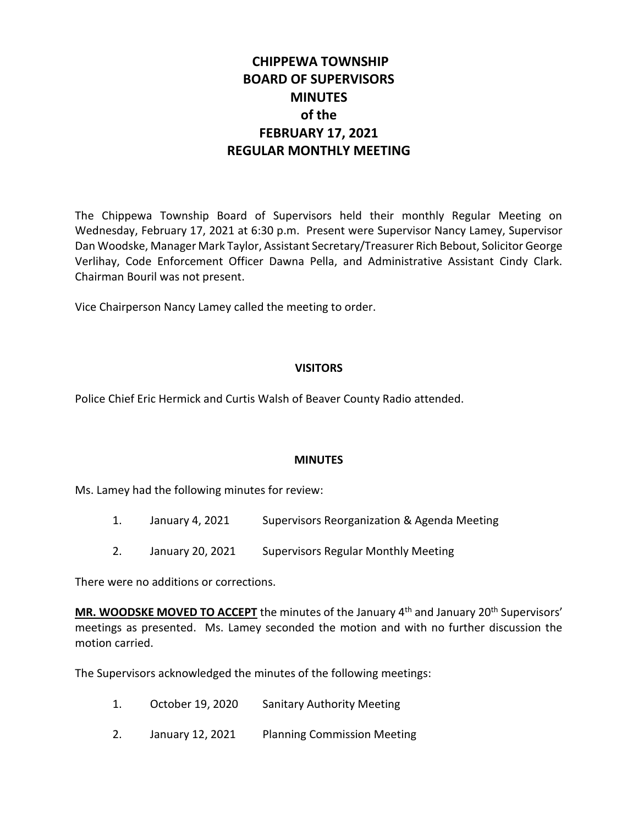## **CHIPPEWA TOWNSHIP BOARD OF SUPERVISORS MINUTES of the FEBRUARY 17, 2021 REGULAR MONTHLY MEETING**

The Chippewa Township Board of Supervisors held their monthly Regular Meeting on Wednesday, February 17, 2021 at 6:30 p.m. Present were Supervisor Nancy Lamey, Supervisor Dan Woodske, Manager Mark Taylor, Assistant Secretary/Treasurer Rich Bebout, Solicitor George Verlihay, Code Enforcement Officer Dawna Pella, and Administrative Assistant Cindy Clark. Chairman Bouril was not present.

Vice Chairperson Nancy Lamey called the meeting to order.

#### **VISITORS**

Police Chief Eric Hermick and Curtis Walsh of Beaver County Radio attended.

#### **MINUTES**

Ms. Lamey had the following minutes for review:

- 1. January 4, 2021 Supervisors Reorganization & Agenda Meeting
- 2. January 20, 2021 Supervisors Regular Monthly Meeting

There were no additions or corrections.

**MR. WOODSKE MOVED TO ACCEPT** the minutes of the January 4<sup>th</sup> and January 20<sup>th</sup> Supervisors' meetings as presented. Ms. Lamey seconded the motion and with no further discussion the motion carried.

The Supervisors acknowledged the minutes of the following meetings:

- 1. October 19, 2020 Sanitary Authority Meeting
- 2. January 12, 2021 Planning Commission Meeting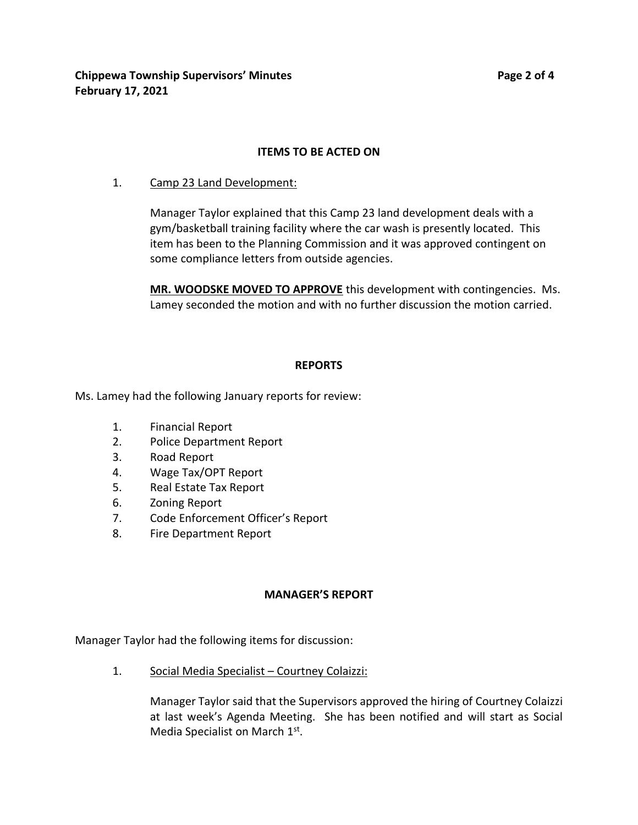# **ITEMS TO BE ACTED ON**

1. Camp 23 Land Development:

Manager Taylor explained that this Camp 23 land development deals with a gym/basketball training facility where the car wash is presently located. This item has been to the Planning Commission and it was approved contingent on some compliance letters from outside agencies.

**MR. WOODSKE MOVED TO APPROVE** this development with contingencies. Ms. Lamey seconded the motion and with no further discussion the motion carried.

#### **REPORTS**

Ms. Lamey had the following January reports for review:

- 1. Financial Report
- 2. Police Department Report
- 3. Road Report
- 4. Wage Tax/OPT Report
- 5. Real Estate Tax Report
- 6. Zoning Report
- 7. Code Enforcement Officer's Report
- 8. Fire Department Report

#### **MANAGER'S REPORT**

Manager Taylor had the following items for discussion:

1. Social Media Specialist – Courtney Colaizzi:

Manager Taylor said that the Supervisors approved the hiring of Courtney Colaizzi at last week's Agenda Meeting. She has been notified and will start as Social Media Specialist on March 1st.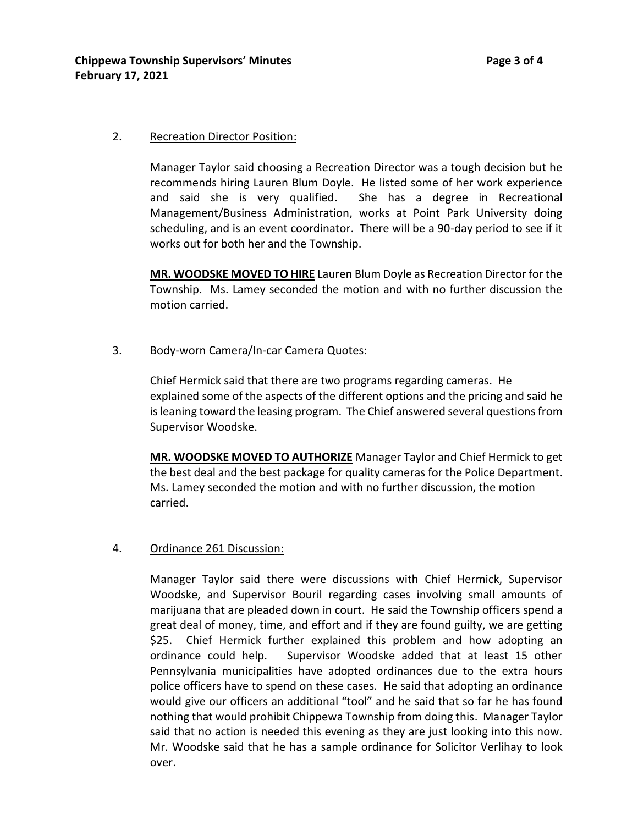#### 2. Recreation Director Position:

Manager Taylor said choosing a Recreation Director was a tough decision but he recommends hiring Lauren Blum Doyle. He listed some of her work experience and said she is very qualified. She has a degree in Recreational Management/Business Administration, works at Point Park University doing scheduling, and is an event coordinator. There will be a 90-day period to see if it works out for both her and the Township.

**MR. WOODSKE MOVED TO HIRE** Lauren Blum Doyle as Recreation Director for the Township. Ms. Lamey seconded the motion and with no further discussion the motion carried.

#### 3. Body-worn Camera/In-car Camera Quotes:

Chief Hermick said that there are two programs regarding cameras. He explained some of the aspects of the different options and the pricing and said he is leaning toward the leasing program. The Chief answered several questions from Supervisor Woodske.

**MR. WOODSKE MOVED TO AUTHORIZE** Manager Taylor and Chief Hermick to get the best deal and the best package for quality cameras for the Police Department. Ms. Lamey seconded the motion and with no further discussion, the motion carried.

#### 4. Ordinance 261 Discussion:

Manager Taylor said there were discussions with Chief Hermick, Supervisor Woodske, and Supervisor Bouril regarding cases involving small amounts of marijuana that are pleaded down in court. He said the Township officers spend a great deal of money, time, and effort and if they are found guilty, we are getting \$25. Chief Hermick further explained this problem and how adopting an ordinance could help. Supervisor Woodske added that at least 15 other Pennsylvania municipalities have adopted ordinances due to the extra hours police officers have to spend on these cases. He said that adopting an ordinance would give our officers an additional "tool" and he said that so far he has found nothing that would prohibit Chippewa Township from doing this. Manager Taylor said that no action is needed this evening as they are just looking into this now. Mr. Woodske said that he has a sample ordinance for Solicitor Verlihay to look over.